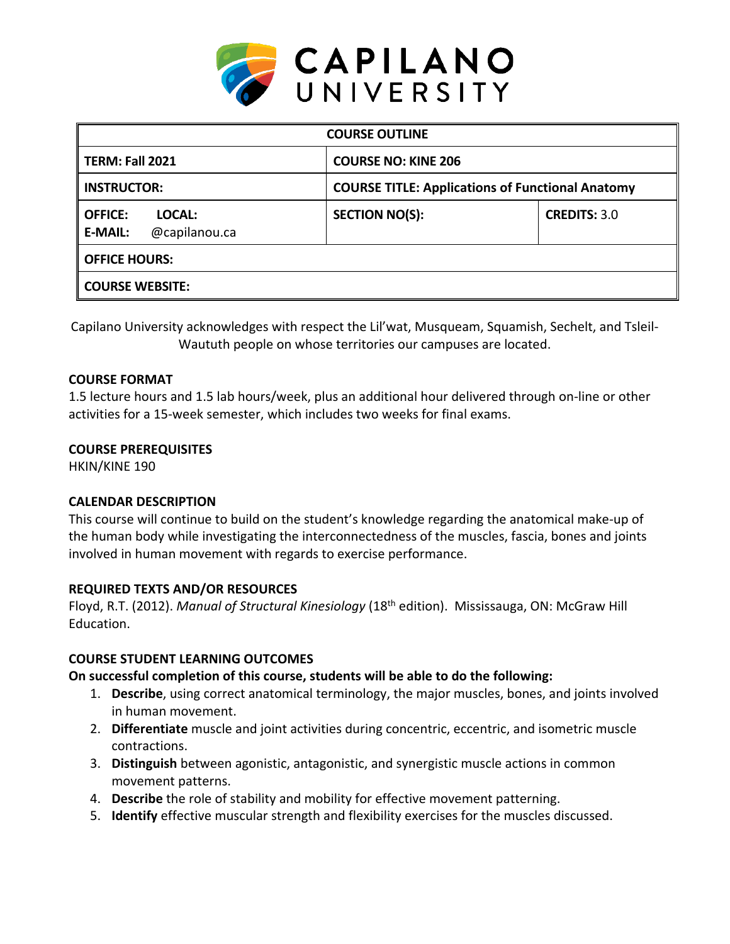

| <b>COURSE OUTLINE</b>                                       |                                                         |                     |  |  |  |
|-------------------------------------------------------------|---------------------------------------------------------|---------------------|--|--|--|
| TERM: Fall 2021                                             | <b>COURSE NO: KINE 206</b>                              |                     |  |  |  |
| <b>INSTRUCTOR:</b>                                          | <b>COURSE TITLE: Applications of Functional Anatomy</b> |                     |  |  |  |
| <b>OFFICE:</b><br>LOCAL:<br><b>E-MAIL:</b><br>@capilanou.ca | <b>SECTION NO(S):</b>                                   | <b>CREDITS: 3.0</b> |  |  |  |
| <b>OFFICE HOURS:</b>                                        |                                                         |                     |  |  |  |
| <b>COURSE WEBSITE:</b>                                      |                                                         |                     |  |  |  |

Capilano University acknowledges with respect the Lil'wat, Musqueam, Squamish, Sechelt, and Tsleil-Waututh people on whose territories our campuses are located.

## **COURSE FORMAT**

1.5 lecture hours and 1.5 lab hours/week, plus an additional hour delivered through on-line or other activities for a 15-week semester, which includes two weeks for final exams.

## **COURSE PREREQUISITES**

HKIN/KINE 190

## **CALENDAR DESCRIPTION**

This course will continue to build on the student's knowledge regarding the anatomical make-up of the human body while investigating the interconnectedness of the muscles, fascia, bones and joints involved in human movement with regards to exercise performance.

### **REQUIRED TEXTS AND/OR RESOURCES**

Floyd, R.T. (2012). *Manual of Structural Kinesiology* (18th edition). Mississauga, ON: McGraw Hill Education.

## **COURSE STUDENT LEARNING OUTCOMES**

## **On successful completion of this course, students will be able to do the following:**

- 1. **Describe**, using correct anatomical terminology, the major muscles, bones, and joints involved in human movement.
- 2. **Differentiate** muscle and joint activities during concentric, eccentric, and isometric muscle contractions.
- 3. **Distinguish** between agonistic, antagonistic, and synergistic muscle actions in common movement patterns.
- 4. **Describe** the role of stability and mobility for effective movement patterning.
- 5. **Identify** effective muscular strength and flexibility exercises for the muscles discussed.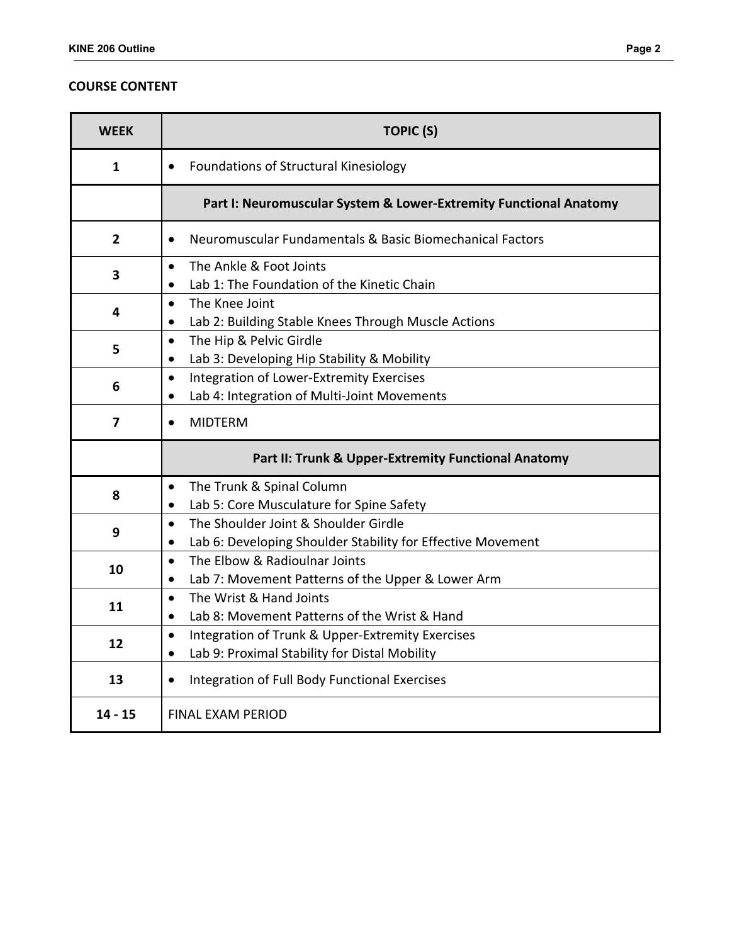## **COURSE CONTENT**

| <b>WEEK</b>    | <b>TOPIC (S)</b>                                                                                                              |  |  |  |  |
|----------------|-------------------------------------------------------------------------------------------------------------------------------|--|--|--|--|
| 1              | Foundations of Structural Kinesiology<br>$\bullet$                                                                            |  |  |  |  |
|                | Part I: Neuromuscular System & Lower-Extremity Functional Anatomy                                                             |  |  |  |  |
| $\overline{2}$ | Neuromuscular Fundamentals & Basic Biomechanical Factors<br>$\bullet$                                                         |  |  |  |  |
| 3              | The Ankle & Foot Joints<br>$\bullet$<br>Lab 1: The Foundation of the Kinetic Chain<br>$\bullet$                               |  |  |  |  |
| 4              | The Knee Joint<br>$\bullet$<br>Lab 2: Building Stable Knees Through Muscle Actions<br>$\bullet$                               |  |  |  |  |
| 5              | The Hip & Pelvic Girdle<br>$\bullet$<br>Lab 3: Developing Hip Stability & Mobility<br>$\bullet$                               |  |  |  |  |
| 6              | Integration of Lower-Extremity Exercises<br>$\bullet$<br>Lab 4: Integration of Multi-Joint Movements<br>$\bullet$             |  |  |  |  |
| 7              | <b>MIDTERM</b><br>$\bullet$                                                                                                   |  |  |  |  |
|                | Part II: Trunk & Upper-Extremity Functional Anatomy                                                                           |  |  |  |  |
| 8              | The Trunk & Spinal Column<br>$\bullet$<br>Lab 5: Core Musculature for Spine Safety<br>$\bullet$                               |  |  |  |  |
| 9              | The Shoulder Joint & Shoulder Girdle<br>$\bullet$<br>Lab 6: Developing Shoulder Stability for Effective Movement<br>$\bullet$ |  |  |  |  |
| 10             | The Elbow & Radioulnar Joints<br>$\bullet$<br>Lab 7: Movement Patterns of the Upper & Lower Arm<br>$\bullet$                  |  |  |  |  |
| 11             | The Wrist & Hand Joints<br>$\bullet$<br>Lab 8: Movement Patterns of the Wrist & Hand<br>$\bullet$                             |  |  |  |  |
| 12             | Integration of Trunk & Upper-Extremity Exercises<br>$\bullet$<br>Lab 9: Proximal Stability for Distal Mobility<br>$\bullet$   |  |  |  |  |
| 13             | Integration of Full Body Functional Exercises<br>$\bullet$                                                                    |  |  |  |  |
| $14 - 15$      | <b>FINAL EXAM PERIOD</b>                                                                                                      |  |  |  |  |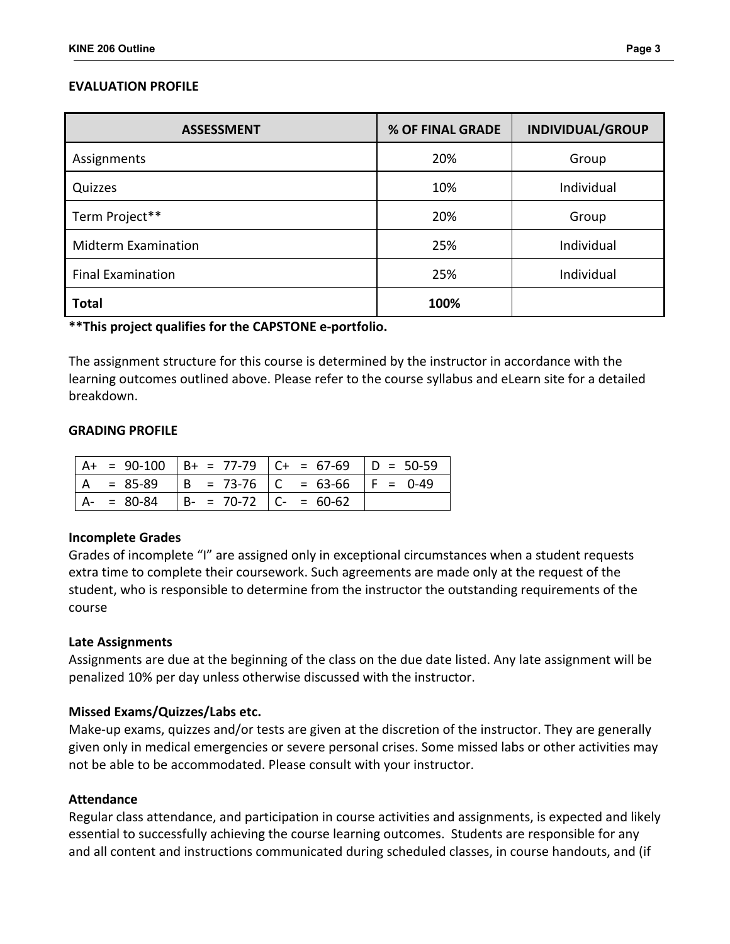## **EVALUATION PROFILE**

| <b>ASSESSMENT</b>          | % OF FINAL GRADE | <b>INDIVIDUAL/GROUP</b> |
|----------------------------|------------------|-------------------------|
| Assignments                | 20%              | Group                   |
| Quizzes                    | 10%              | Individual              |
| Term Project**             | 20%              | Group                   |
| <b>Midterm Examination</b> | 25%              | Individual              |
| <b>Final Examination</b>   | 25%              | Individual              |
| <b>Total</b>               | 100%             |                         |

**\*\*This project qualifies for the CAPSTONE e-portfolio.** 

The assignment structure for this course is determined by the instructor in accordance with the learning outcomes outlined above. Please refer to the course syllabus and eLearn site for a detailed breakdown.

### **GRADING PROFILE**

|               |                               | $ $ A+ = 90-100 $ $ B+ = 77-79 $ $ C+ = 67-69 $ $ D = 50-59 |  |
|---------------|-------------------------------|-------------------------------------------------------------|--|
|               |                               | $ A = 85-89$ $ B = 73-76$ $ C = 63-66$ $ F = 0-49$          |  |
| $A - = 80-84$ | $  B - = 70-72   C - = 60-62$ |                                                             |  |

### **Incomplete Grades**

Grades of incomplete "I" are assigned only in exceptional circumstances when a student requests extra time to complete their coursework. Such agreements are made only at the request of the student, who is responsible to determine from the instructor the outstanding requirements of the course

### **Late Assignments**

Assignments are due at the beginning of the class on the due date listed. Any late assignment will be penalized 10% per day unless otherwise discussed with the instructor.

### **Missed Exams/Quizzes/Labs etc.**

Make-up exams, quizzes and/or tests are given at the discretion of the instructor. They are generally given only in medical emergencies or severe personal crises. Some missed labs or other activities may not be able to be accommodated. Please consult with your instructor.

### **Attendance**

Regular class attendance, and participation in course activities and assignments, is expected and likely essential to successfully achieving the course learning outcomes. Students are responsible for any and all content and instructions communicated during scheduled classes, in course handouts, and (if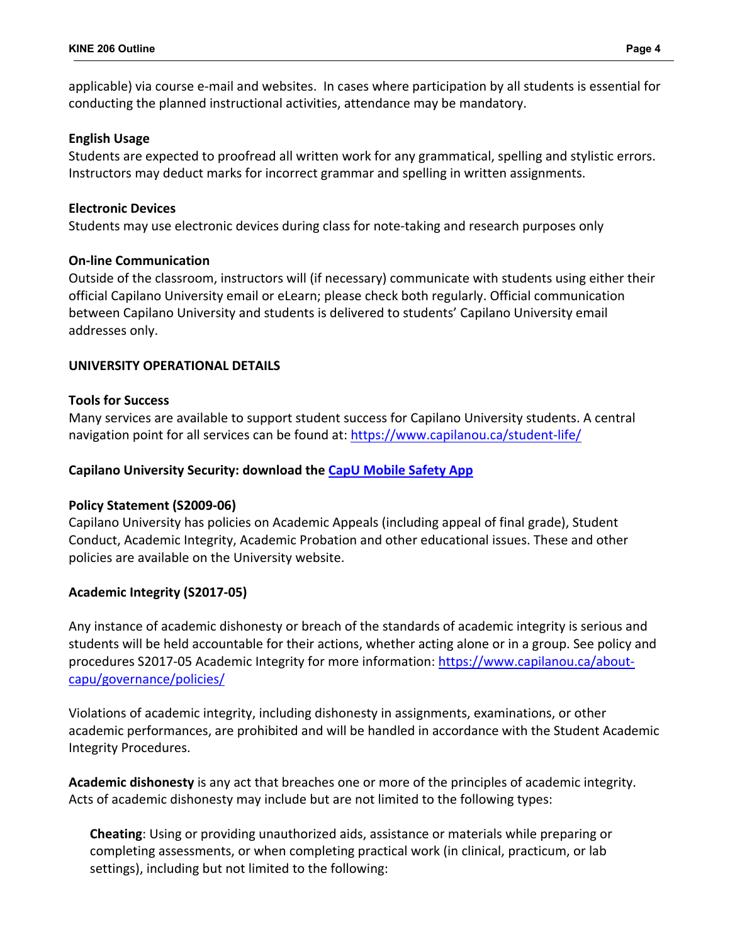applicable) via course e-mail and websites. In cases where participation by all students is essential for conducting the planned instructional activities, attendance may be mandatory.

### **English Usage**

Students are expected to proofread all written work for any grammatical, spelling and stylistic errors. Instructors may deduct marks for incorrect grammar and spelling in written assignments.

### **Electronic Devices**

Students may use electronic devices during class for note-taking and research purposes only

### **On-line Communication**

Outside of the classroom, instructors will (if necessary) communicate with students using either their official Capilano University email or eLearn; please check both regularly. Official communication between Capilano University and students is delivered to students' Capilano University email addresses only.

## **UNIVERSITY OPERATIONAL DETAILS**

### **Tools for Success**

Many services are available to support student success for Capilano University students. A central navigation point for all services can be found at:<https://www.capilanou.ca/student-life/>

### **Capilano University Security: download the [CapU Mobile Safety App](https://www.capilanou.ca/services/safety-security/CapU-Mobile-Safety-App/)**

## **Policy Statement (S2009-06)**

Capilano University has policies on Academic Appeals (including appeal of final grade), Student Conduct, Academic Integrity, Academic Probation and other educational issues. These and other policies are available on the University website.

## **Academic Integrity (S2017-05)**

Any instance of academic dishonesty or breach of the standards of academic integrity is serious and students will be held accountable for their actions, whether acting alone or in a group. See policy and procedures S2017-05 Academic Integrity for more information: [https://www.capilanou.ca/about](https://www.capilanou.ca/about-capu/governance/policies/)[capu/governance/policies/](https://www.capilanou.ca/about-capu/governance/policies/)

Violations of academic integrity, including dishonesty in assignments, examinations, or other academic performances, are prohibited and will be handled in accordance with the Student Academic Integrity Procedures.

**Academic dishonesty** is any act that breaches one or more of the principles of academic integrity. Acts of academic dishonesty may include but are not limited to the following types:

**Cheating**: Using or providing unauthorized aids, assistance or materials while preparing or completing assessments, or when completing practical work (in clinical, practicum, or lab settings), including but not limited to the following: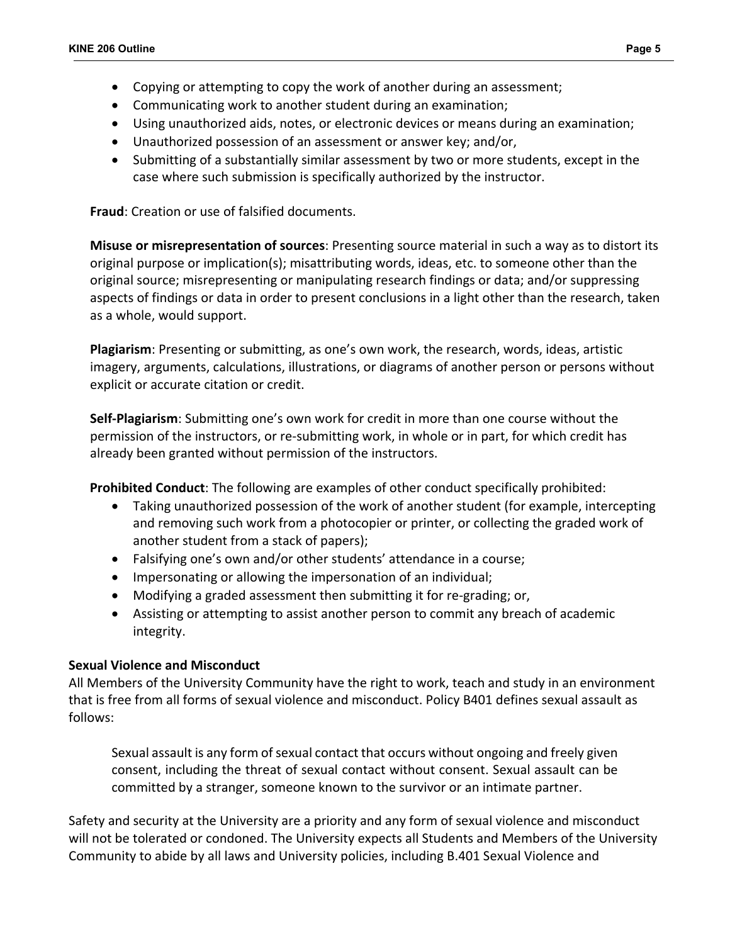- Copying or attempting to copy the work of another during an assessment;
- Communicating work to another student during an examination;
- Using unauthorized aids, notes, or electronic devices or means during an examination;
- Unauthorized possession of an assessment or answer key; and/or,
- Submitting of a substantially similar assessment by two or more students, except in the case where such submission is specifically authorized by the instructor.

**Fraud**: Creation or use of falsified documents.

**Misuse or misrepresentation of sources**: Presenting source material in such a way as to distort its original purpose or implication(s); misattributing words, ideas, etc. to someone other than the original source; misrepresenting or manipulating research findings or data; and/or suppressing aspects of findings or data in order to present conclusions in a light other than the research, taken as a whole, would support.

**Plagiarism**: Presenting or submitting, as one's own work, the research, words, ideas, artistic imagery, arguments, calculations, illustrations, or diagrams of another person or persons without explicit or accurate citation or credit.

**Self-Plagiarism**: Submitting one's own work for credit in more than one course without the permission of the instructors, or re-submitting work, in whole or in part, for which credit has already been granted without permission of the instructors.

**Prohibited Conduct**: The following are examples of other conduct specifically prohibited:

- Taking unauthorized possession of the work of another student (for example, intercepting and removing such work from a photocopier or printer, or collecting the graded work of another student from a stack of papers);
- Falsifying one's own and/or other students' attendance in a course;
- Impersonating or allowing the impersonation of an individual;
- Modifying a graded assessment then submitting it for re-grading; or,
- Assisting or attempting to assist another person to commit any breach of academic integrity.

# **Sexual Violence and Misconduct**

All Members of the University Community have the right to work, teach and study in an environment that is free from all forms of sexual violence and misconduct. Policy B401 defines sexual assault as follows:

Sexual assault is any form of sexual contact that occurs without ongoing and freely given consent, including the threat of sexual contact without consent. Sexual assault can be committed by a stranger, someone known to the survivor or an intimate partner.

Safety and security at the University are a priority and any form of sexual violence and misconduct will not be tolerated or condoned. The University expects all Students and Members of the University Community to abide by all laws and University policies, including B.401 Sexual Violence and